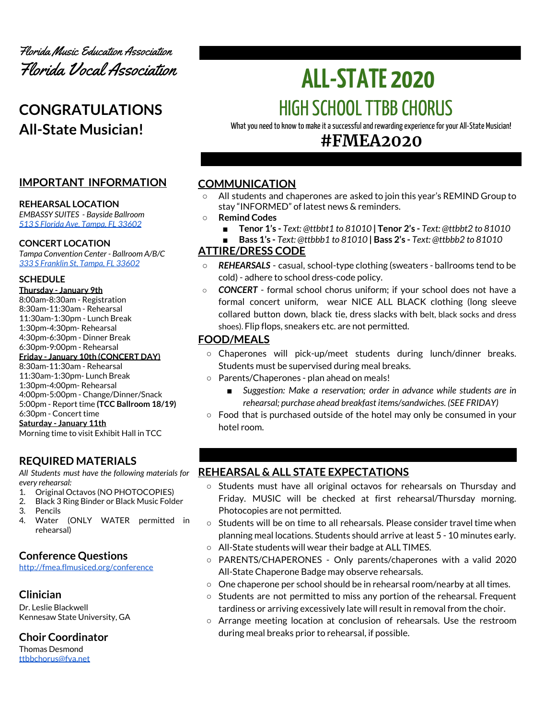

# **CONGRATULATIONS All-State Musician!**

# **IMPORTANT INFORMATION**

#### **REHEARSAL LOCATION**

*EMBASSY SUITES - Bayside Ballroom 513 S Florida Ave, [Tampa,](https://embassysuites3.hilton.com/en/hotels/florida/embassy-suites-by-hilton-tampa-downtown-convention-center-TPAESES/maps-directions/index.html) FL 33602*

#### **CONCERT LOCATION**

*Tampa Convention Center - Ballroom A/B/C 333 S [Franklin](https://www.tampagov.net/tcc/location2) St, Tampa, FL 33602*

#### **SCHEDULE**

**Thursday - January 9th** 8:00am-8:30am - Registration 8:30am-11:30am - Rehearsal 11:30am-1:30pm - Lunch Break 1:30pm-4:30pm- Rehearsal 4:30pm-6:30pm - Dinner Break 6:30pm-9:00pm - Rehearsal **Friday - January 10th (CONCERT DAY)** 8:30am-11:30am - Rehearsal 11:30am-1:30pm- Lunch Break 1:30pm-4:00pm- Rehearsal 4:00pm-5:00pm - Change/Dinner/Snack 5:00pm - Report time **(TCC Ballroom 18/19)** 6:30pm - Concert time **Saturday - January 11th**

Morning time to visit Exhibit Hall in TCC

# **REQUIRED MATERIALS**

*All Students must have the following materials for every rehearsal:*

- 1. Original Octavos (NO PHOTOCOPIES)
- 2. Black 3 Ring Binder or Black Music Folder
- 3. Pencils
- 4. Water (ONLY WATER permitted in rehearsal)

# **Conference Questions**

<http://fmea.flmusiced.org/conference>

# **Clinician**

Dr. Leslie Blackwell Kennesaw State University, GA

**Choir Coordinator** Thomas Desmond

[ttbbchorus@fva.net](mailto:ttbbchorus@fva.net)

# **ALL-STATE 2020** HIGH SCHOOL TTBB CHORUS

What you need to know to make it a successful and rewarding experience for your All-State Musician!

# **#FMEA2020**

# **COMMUNICATION**

- **○** All students and chaperones are asked to join this year's REMIND Group to stay "INFORMED" of latest news & reminders.
- **○ Remind Codes**
	- **■ Tenor 1's -** *Text: @ttbbt1 to 81010* **| Tenor 2's -** *Text: @ttbbt2 to 81010*
	- **■ Bass 1's -** *Text: @ttbbb1 to 81010* **| Bass 2's -** *Text: @ttbbb2 to 81010*

# **ATTIRE/DRESS CODE**

- *REHEARSALS* casual, school-type clothing (sweaters ballrooms tend to be cold) - adhere to school dress-code policy.
- *CONCERT* formal school chorus uniform; if your school does not have a formal concert uniform, wear NICE ALL BLACK clothing (long sleeve collared button down, black tie, dress slacks with belt, black socks and dress shoes). Flip flops, sneakers etc. are not permitted.

# **FOOD/MEALS**

- Chaperones will pick-up/meet students during lunch/dinner breaks. Students must be supervised during meal breaks.
- Parents/Chaperones plan ahead on meals!
	- *Suggestion: Make a reservation; order in advance while students are in rehearsal; purchase ahead breakfast items/sandwiches. (SEE FRIDAY)*
- Food that is purchased outside of the hotel may only be consumed in your hotel room.

# **REHEARSAL & ALL STATE EXPECTATIONS**

- Students must have all original octavos for rehearsals on Thursday and Friday. MUSIC will be checked at first rehearsal/Thursday morning. Photocopies are not permitted.
- Students will be on time to all rehearsals. Please consider travel time when planning meal locations. Students should arrive at least 5 - 10 minutes early.
- All-State students will wear their badge at ALL TIMES.
- PARENTS/CHAPERONES Only parents/chaperones with a valid 2020 All-State Chaperone Badge may observe rehearsals.
- One chaperone per school should be in rehearsal room/nearby at all times.
- Students are not permitted to miss any portion of the rehearsal. Frequent tardiness or arriving excessively late will result in removal from the choir.
- Arrange meeting location at conclusion of rehearsals. Use the restroom during meal breaks prior to rehearsal, if possible.